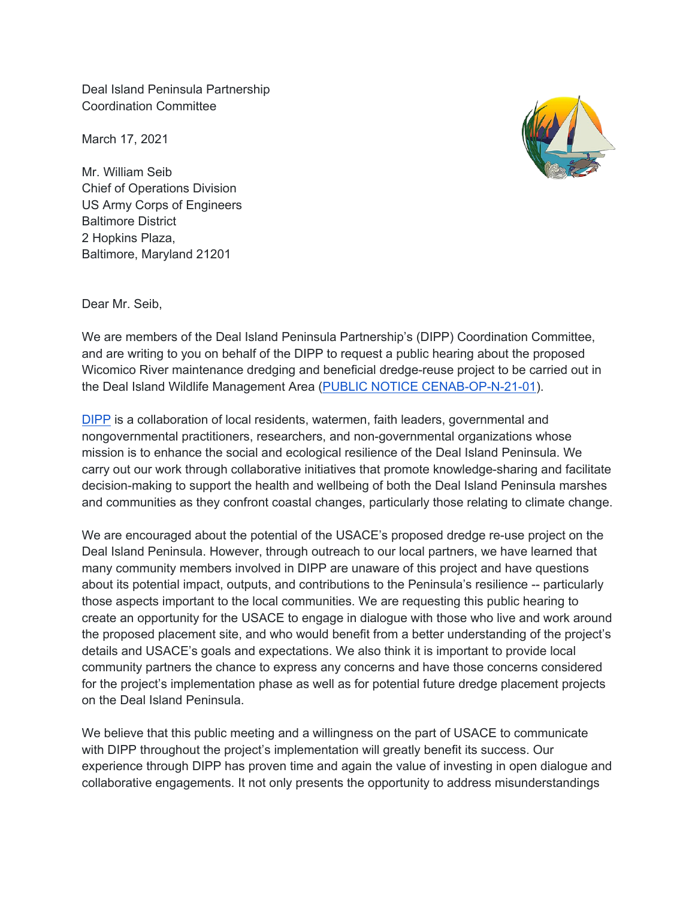Deal Island Peninsula Partnership Coordination Committee

March 17, 2021

Mr. William Seib Chief of Operations Division US Army Corps of Engineers Baltimore District 2 Hopkins Plaza, Baltimore, Maryland 21201



Dear Mr. Seib,

We are members of the Deal Island Peninsula Partnership's (DIPP) Coordination Committee, and are writing to you on behalf of the DIPP to request a public hearing about the proposed Wicomico River maintenance dredging and beneficial dredge-reuse project to be carried out in the Deal Island Wildlife Management Area (PUBLIC NOTICE CENAB-OP-N-21-01).

DIPP is a collaboration of local residents, watermen, faith leaders, governmental and nongovernmental practitioners, researchers, and non-governmental organizations whose mission is to enhance the social and ecological resilience of the Deal Island Peninsula. We carry out our work through collaborative initiatives that promote knowledge-sharing and facilitate decision-making to support the health and wellbeing of both the Deal Island Peninsula marshes and communities as they confront coastal changes, particularly those relating to climate change.

We are encouraged about the potential of the USACE's proposed dredge re-use project on the Deal Island Peninsula. However, through outreach to our local partners, we have learned that many community members involved in DIPP are unaware of this project and have questions about its potential impact, outputs, and contributions to the Peninsula's resilience -- particularly those aspects important to the local communities. We are requesting this public hearing to create an opportunity for the USACE to engage in dialogue with those who live and work around the proposed placement site, and who would benefit from a better understanding of the project's details and USACE's goals and expectations. We also think it is important to provide local community partners the chance to express any concerns and have those concerns considered for the project's implementation phase as well as for potential future dredge placement projects on the Deal Island Peninsula.

We believe that this public meeting and a willingness on the part of USACE to communicate with DIPP throughout the project's implementation will greatly benefit its success. Our experience through DIPP has proven time and again the value of investing in open dialogue and collaborative engagements. It not only presents the opportunity to address misunderstandings